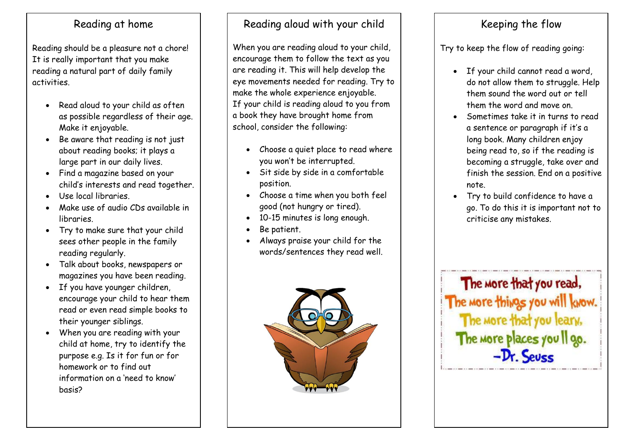## Reading at home

Reading should be a pleasure not a chore! It is really important that you make reading a natural part of daily family activities.

- Read aloud to your child as often as possible regardless of their age. Make it enjoyable.
- Be aware that reading is not just about reading books; it plays a large part in our daily lives.
- Find a magazine based on your child's interests and read together.
- Use local libraries.
- Make use of audio CDs available in libraries.
- Try to make sure that your child sees other people in the family reading regularly.
- Talk about books, newspapers or magazines you have been reading.
- If you have younger children, encourage your child to hear them read or even read simple books to their younger siblings.
- When you are reading with your child at home, try to identify the purpose e.g. Is it for fun or for homework or to find out information on a 'need to know' basis?

# Reading aloud with your child

When you are reading aloud to your child, encourage them to follow the text as you are reading it. This will help develop the eye movements needed for reading. Try to make the whole experience enjoyable. If your child is reading aloud to you from a book they have brought home from school, consider the following:

- Choose a quiet place to read where you won't be interrupted.
- Sit side by side in a comfortable position.
- Choose a time when you both feel good (not hungry or tired).
- 10-15 minutes is long enough.
- Be patient.
- Always praise your child for the words/sentences they read well.



# Keeping the flow

Try to keep the flow of reading going:

- If your child cannot read a word, do not allow them to struggle. Help them sound the word out or tell them the word and move on.
- Sometimes take it in turns to read a sentence or paragraph if it's a long book. Many children enjoy being read to, so if the reading is becoming a struggle, take over and finish the session. End on a positive note.
- Try to build confidence to have a go. To do this it is important not to criticise any mistakes.